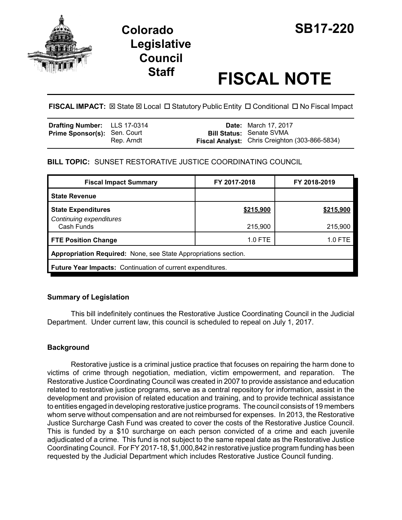

# **Legislative Council**

# **Staff FISCAL NOTE**

FISCAL IMPACT:  $\boxtimes$  State  $\boxtimes$  Local  $\Box$  Statutory Public Entity  $\Box$  Conditional  $\Box$  No Fiscal Impact

| <b>Drafting Number:</b> LLS 17-0314 |            | <b>Date:</b> March 17, 2017                                                              |
|-------------------------------------|------------|------------------------------------------------------------------------------------------|
| <b>Prime Sponsor(s): Sen. Court</b> | Rep. Arndt | <b>Bill Status: Senate SVMA</b><br><b>Fiscal Analyst:</b> Chris Creighton (303-866-5834) |

# **BILL TOPIC:** SUNSET RESTORATIVE JUSTICE COORDINATING COUNCIL

| <b>Fiscal Impact Summary</b>                                    | FY 2017-2018 | FY 2018-2019 |  |  |  |
|-----------------------------------------------------------------|--------------|--------------|--|--|--|
| <b>State Revenue</b>                                            |              |              |  |  |  |
| <b>State Expenditures</b><br>Continuing expenditures            | \$215,900    | \$215,900    |  |  |  |
| Cash Funds                                                      | 215,900      | 215,900      |  |  |  |
| <b>FTE Position Change</b>                                      | $1.0$ FTE    | 1.0 FTE      |  |  |  |
| Appropriation Required: None, see State Appropriations section. |              |              |  |  |  |
| Future Year Impacts: Continuation of current expenditures.      |              |              |  |  |  |

# **Summary of Legislation**

This bill indefinitely continues the Restorative Justice Coordinating Council in the Judicial Department. Under current law, this council is scheduled to repeal on July 1, 2017.

# **Background**

Restorative justice is a criminal justice practice that focuses on repairing the harm done to victims of crime through negotiation, mediation, victim empowerment, and reparation. The Restorative Justice Coordinating Council was created in 2007 to provide assistance and education related to restorative justice programs, serve as a central repository for information, assist in the development and provision of related education and training, and to provide technical assistance to entities engaged in developing restorative justice programs. The council consists of 19 members whom serve without compensation and are not reimbursed for expenses. In 2013, the Restorative Justice Surcharge Cash Fund was created to cover the costs of the Restorative Justice Council. This is funded by a \$10 surcharge on each person convicted of a crime and each juvenile adjudicated of a crime. This fund is not subject to the same repeal date as the Restorative Justice Coordinating Council. For FY 2017-18, \$1,000,842 in restorative justice program funding has been requested by the Judicial Department which includes Restorative Justice Council funding.